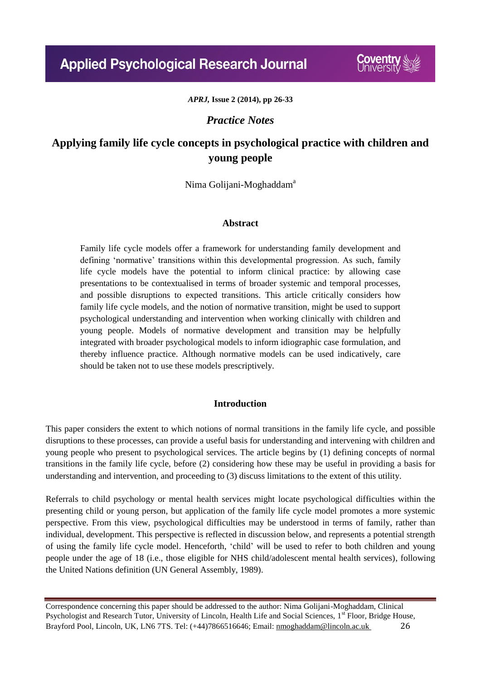*APRJ,* **Issue 2 (2014), pp 26-33**

## *Practice Notes*

# **Applying family life cycle concepts in psychological practice with children and young people**

Nima Golijani-Moghaddam<sup>a</sup>

### **Abstract**

Family life cycle models offer a framework for understanding family development and defining 'normative' transitions within this developmental progression. As such, family life cycle models have the potential to inform clinical practice: by allowing case presentations to be contextualised in terms of broader systemic and temporal processes, and possible disruptions to expected transitions. This article critically considers how family life cycle models, and the notion of normative transition, might be used to support psychological understanding and intervention when working clinically with children and young people. Models of normative development and transition may be helpfully integrated with broader psychological models to inform idiographic case formulation, and thereby influence practice. Although normative models can be used indicatively, care should be taken not to use these models prescriptively.

## **Introduction**

This paper considers the extent to which notions of normal transitions in the family life cycle, and possible disruptions to these processes, can provide a useful basis for understanding and intervening with children and young people who present to psychological services. The article begins by (1) defining concepts of normal transitions in the family life cycle, before (2) considering how these may be useful in providing a basis for understanding and intervention, and proceeding to (3) discuss limitations to the extent of this utility.

Referrals to child psychology or mental health services might locate psychological difficulties within the presenting child or young person, but application of the family life cycle model promotes a more systemic perspective. From this view, psychological difficulties may be understood in terms of family, rather than individual, development. This perspective is reflected in discussion below, and represents a potential strength of using the family life cycle model. Henceforth, 'child' will be used to refer to both children and young people under the age of 18 (i.e., those eligible for NHS child/adolescent mental health services), following the United Nations definition (UN General Assembly, 1989).

Correspondence concerning this paper should be addressed to the author: Nima Golijani-Moghaddam, Clinical Psychologist and Research Tutor, University of Lincoln, Health Life and Social Sciences, 1<sup>st</sup> Floor, Bridge House, Brayford Pool, Lincoln, UK, LN6 7TS. Tel: (+44)7866516646; Email: nmoghaddam@lincoln.ac.uk 26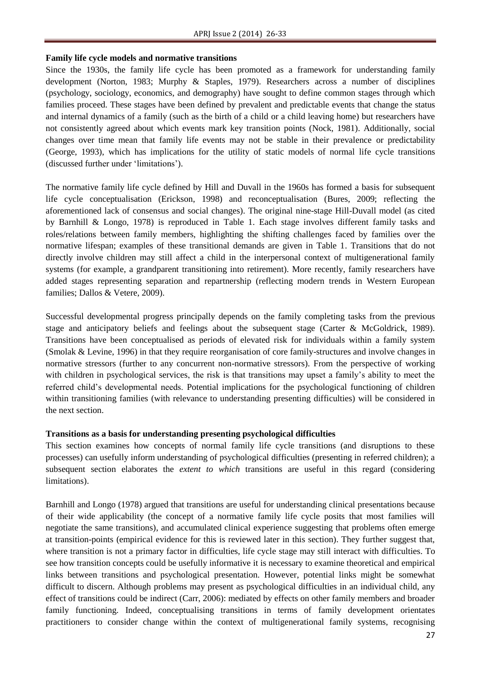#### **Family life cycle models and normative transitions**

Since the 1930s, the family life cycle has been promoted as a framework for understanding family development (Norton, 1983; Murphy & Staples, 1979). Researchers across a number of disciplines (psychology, sociology, economics, and demography) have sought to define common stages through which families proceed. These stages have been defined by prevalent and predictable events that change the status and internal dynamics of a family (such as the birth of a child or a child leaving home) but researchers have not consistently agreed about which events mark key transition points (Nock, 1981). Additionally, social changes over time mean that family life events may not be stable in their prevalence or predictability (George, 1993), which has implications for the utility of static models of normal life cycle transitions (discussed further under 'limitations').

The normative family life cycle defined by Hill and Duvall in the 1960s has formed a basis for subsequent life cycle conceptualisation (Erickson, 1998) and reconceptualisation (Bures, 2009; reflecting the aforementioned lack of consensus and social changes). The original nine-stage Hill-Duvall model (as cited by Barnhill & Longo, 1978) is reproduced in Table 1. Each stage involves different family tasks and roles/relations between family members, highlighting the shifting challenges faced by families over the normative lifespan; examples of these transitional demands are given in Table 1. Transitions that do not directly involve children may still affect a child in the interpersonal context of multigenerational family systems (for example, a grandparent transitioning into retirement). More recently, family researchers have added stages representing separation and repartnership (reflecting modern trends in Western European families; Dallos & Vetere, 2009).

Successful developmental progress principally depends on the family completing tasks from the previous stage and anticipatory beliefs and feelings about the subsequent stage (Carter & McGoldrick, 1989). Transitions have been conceptualised as periods of elevated risk for individuals within a family system (Smolak & Levine, 1996) in that they require reorganisation of core family-structures and involve changes in normative stressors (further to any concurrent non-normative stressors). From the perspective of working with children in psychological services, the risk is that transitions may upset a family's ability to meet the referred child's developmental needs. Potential implications for the psychological functioning of children within transitioning families (with relevance to understanding presenting difficulties) will be considered in the next section.

#### **Transitions as a basis for understanding presenting psychological difficulties**

This section examines how concepts of normal family life cycle transitions (and disruptions to these processes) can usefully inform understanding of psychological difficulties (presenting in referred children); a subsequent section elaborates the *extent to which* transitions are useful in this regard (considering limitations).

Barnhill and Longo (1978) argued that transitions are useful for understanding clinical presentations because of their wide applicability (the concept of a normative family life cycle posits that most families will negotiate the same transitions), and accumulated clinical experience suggesting that problems often emerge at transition-points (empirical evidence for this is reviewed later in this section). They further suggest that, where transition is not a primary factor in difficulties, life cycle stage may still interact with difficulties. To see how transition concepts could be usefully informative it is necessary to examine theoretical and empirical links between transitions and psychological presentation. However, potential links might be somewhat difficult to discern. Although problems may present as psychological difficulties in an individual child, any effect of transitions could be indirect (Carr, 2006): mediated by effects on other family members and broader family functioning. Indeed, conceptualising transitions in terms of family development orientates practitioners to consider change within the context of multigenerational family systems, recognising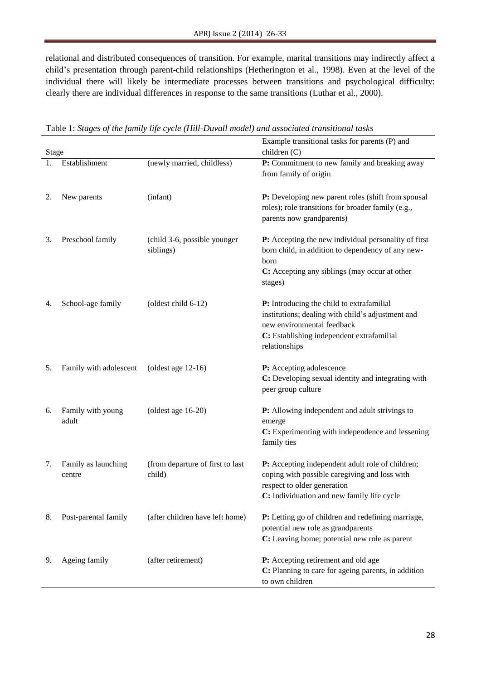relational and distributed consequences of transition. For example, marital transitions may indirectly affect a child's presentation through parent-child relationships (Hetherington et al., 1998). Even at the level of the individual there will likely be intermediate processes between transitions and psychological difficulty: clearly there are individual differences in response to the same transitions (Luthar et al., 2000).

|              |                               |                                            | Example transitional tasks for parents (P) and                                                                                                                                             |
|--------------|-------------------------------|--------------------------------------------|--------------------------------------------------------------------------------------------------------------------------------------------------------------------------------------------|
| <b>Stage</b> |                               |                                            | children (C)                                                                                                                                                                               |
|              | Establishment                 | (newly married, childless)                 | P: Commitment to new family and breaking away<br>from family of origin                                                                                                                     |
| 2.           | New parents                   | (infant)                                   | P: Developing new parent roles (shift from spousal<br>roles); role transitions for broader family (e.g.,<br>parents now grandparents)                                                      |
| 3.           | Preschool family              | (child 3-6, possible younger<br>siblings)  | P: Accepting the new individual personality of first<br>born child, in addition to dependency of any new-<br>born<br>C: Accepting any siblings (may occur at other<br>stages)              |
| 4.           | School-age family             | (oldest child 6-12)                        | P: Introducing the child to extrafamilial<br>institutions; dealing with child's adjustment and<br>new environmental feedback<br>C: Establishing independent extrafamilial<br>relationships |
| 5.           | Family with adolescent        | (oldest age $12-16$ )                      | P: Accepting adolescence<br>C: Developing sexual identity and integrating with<br>peer group culture                                                                                       |
| 6.           | Family with young<br>adult    | (oldest age $16-20$ )                      | P: Allowing independent and adult strivings to<br>emerge<br>C: Experimenting with independence and lessening<br>family ties                                                                |
| 7.           | Family as launching<br>centre | (from departure of first to last<br>child) | P: Accepting independent adult role of children;<br>coping with possible caregiving and loss with<br>respect to older generation<br>C: Individuation and new family life cycle             |
| 8.           | Post-parental family          | (after children have left home)            | P: Letting go of children and redefining marriage,<br>potential new role as grandparents<br>C: Leaving home; potential new role as parent                                                  |
| 9.           | Ageing family                 | (after retirement)                         | P: Accepting retirement and old age<br>C: Planning to care for ageing parents, in addition<br>to own children                                                                              |

Table 1: *Stages of the family life cycle (Hill-Duvall model) and associated transitional tasks*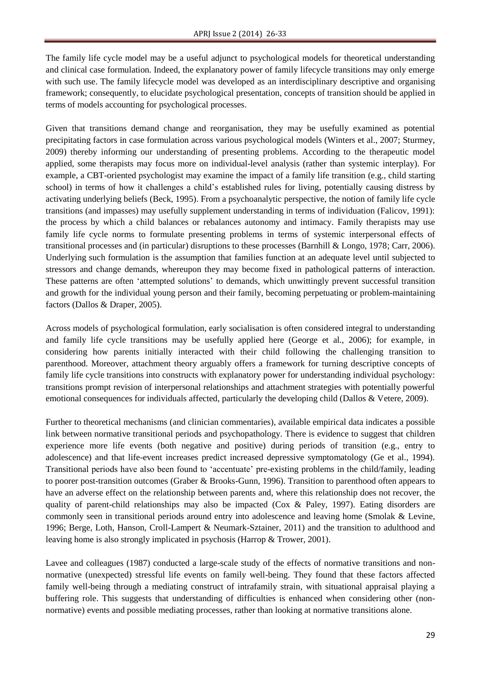The family life cycle model may be a useful adjunct to psychological models for theoretical understanding and clinical case formulation. Indeed, the explanatory power of family lifecycle transitions may only emerge with such use. The family lifecycle model was developed as an interdisciplinary descriptive and organising framework; consequently, to elucidate psychological presentation, concepts of transition should be applied in terms of models accounting for psychological processes.

Given that transitions demand change and reorganisation, they may be usefully examined as potential precipitating factors in case formulation across various psychological models (Winters et al., 2007; Sturmey, 2009) thereby informing our understanding of presenting problems. According to the therapeutic model applied, some therapists may focus more on individual-level analysis (rather than systemic interplay). For example, a CBT-oriented psychologist may examine the impact of a family life transition (e.g., child starting school) in terms of how it challenges a child's established rules for living, potentially causing distress by activating underlying beliefs (Beck, 1995). From a psychoanalytic perspective, the notion of family life cycle transitions (and impasses) may usefully supplement understanding in terms of individuation (Falicov, 1991): the process by which a child balances or rebalances autonomy and intimacy. Family therapists may use family life cycle norms to formulate presenting problems in terms of systemic interpersonal effects of transitional processes and (in particular) disruptions to these processes (Barnhill & Longo, 1978; Carr, 2006). Underlying such formulation is the assumption that families function at an adequate level until subjected to stressors and change demands, whereupon they may become fixed in pathological patterns of interaction. These patterns are often 'attempted solutions' to demands, which unwittingly prevent successful transition and growth for the individual young person and their family, becoming perpetuating or problem-maintaining factors (Dallos & Draper, 2005).

Across models of psychological formulation, early socialisation is often considered integral to understanding and family life cycle transitions may be usefully applied here (George et al., 2006); for example, in considering how parents initially interacted with their child following the challenging transition to parenthood. Moreover, attachment theory arguably offers a framework for turning descriptive concepts of family life cycle transitions into constructs with explanatory power for understanding individual psychology: transitions prompt revision of interpersonal relationships and attachment strategies with potentially powerful emotional consequences for individuals affected, particularly the developing child (Dallos & Vetere, 2009).

Further to theoretical mechanisms (and clinician commentaries), available empirical data indicates a possible link between normative transitional periods and psychopathology. There is evidence to suggest that children experience more life events (both negative and positive) during periods of transition (e.g., entry to adolescence) and that life-event increases predict increased depressive symptomatology (Ge et al., 1994). Transitional periods have also been found to 'accentuate' pre-existing problems in the child/family, leading to poorer post-transition outcomes (Graber & Brooks-Gunn, 1996). Transition to parenthood often appears to have an adverse effect on the relationship between parents and, where this relationship does not recover, the quality of parent-child relationships may also be impacted (Cox & Paley, 1997). Eating disorders are commonly seen in transitional periods around entry into adolescence and leaving home (Smolak & Levine, 1996; Berge, Loth, Hanson, Croll-Lampert & Neumark-Sztainer, 2011) and the transition to adulthood and leaving home is also strongly implicated in psychosis (Harrop & Trower, 2001).

Lavee and colleagues (1987) conducted a large-scale study of the effects of normative transitions and nonnormative (unexpected) stressful life events on family well-being. They found that these factors affected family well-being through a mediating construct of intrafamily strain, with situational appraisal playing a buffering role. This suggests that understanding of difficulties is enhanced when considering other (nonnormative) events and possible mediating processes, rather than looking at normative transitions alone.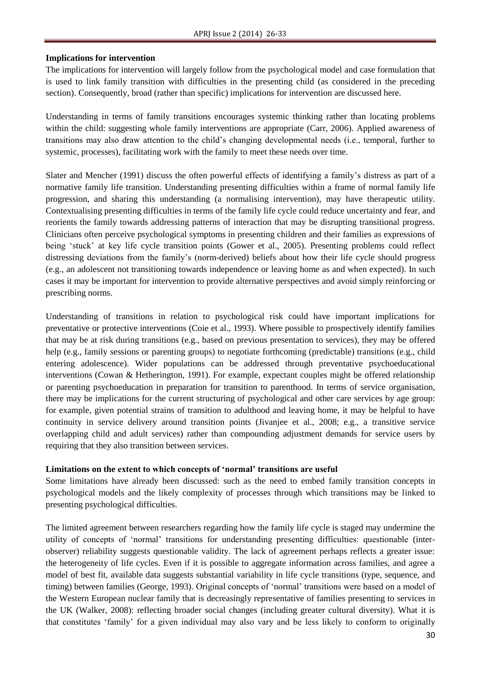#### **Implications for intervention**

The implications for intervention will largely follow from the psychological model and case formulation that is used to link family transition with difficulties in the presenting child (as considered in the preceding section). Consequently, broad (rather than specific) implications for intervention are discussed here.

Understanding in terms of family transitions encourages systemic thinking rather than locating problems within the child: suggesting whole family interventions are appropriate (Carr, 2006). Applied awareness of transitions may also draw attention to the child's changing developmental needs (i.e., temporal, further to systemic, processes), facilitating work with the family to meet these needs over time.

Slater and Mencher (1991) discuss the often powerful effects of identifying a family's distress as part of a normative family life transition. Understanding presenting difficulties within a frame of normal family life progression, and sharing this understanding (a normalising intervention), may have therapeutic utility. Contextualising presenting difficulties in terms of the family life cycle could reduce uncertainty and fear, and reorients the family towards addressing patterns of interaction that may be disrupting transitional progress. Clinicians often perceive psychological symptoms in presenting children and their families as expressions of being 'stuck' at key life cycle transition points (Gower et al., 2005). Presenting problems could reflect distressing deviations from the family's (norm-derived) beliefs about how their life cycle should progress (e.g., an adolescent not transitioning towards independence or leaving home as and when expected). In such cases it may be important for intervention to provide alternative perspectives and avoid simply reinforcing or prescribing norms.

Understanding of transitions in relation to psychological risk could have important implications for preventative or protective interventions (Coie et al., 1993). Where possible to prospectively identify families that may be at risk during transitions (e.g., based on previous presentation to services), they may be offered help (e.g., family sessions or parenting groups) to negotiate forthcoming (predictable) transitions (e.g., child entering adolescence). Wider populations can be addressed through preventative psychoeducational interventions (Cowan & Hetherington, 1991). For example, expectant couples might be offered relationship or parenting psychoeducation in preparation for transition to parenthood. In terms of service organisation, there may be implications for the current structuring of psychological and other care services by age group: for example, given potential strains of transition to adulthood and leaving home, it may be helpful to have continuity in service delivery around transition points (Jivanjee et al., 2008; e.g., a transitive service overlapping child and adult services) rather than compounding adjustment demands for service users by requiring that they also transition between services.

#### **Limitations on the extent to which concepts of 'normal' transitions are useful**

Some limitations have already been discussed: such as the need to embed family transition concepts in psychological models and the likely complexity of processes through which transitions may be linked to presenting psychological difficulties.

The limited agreement between researchers regarding how the family life cycle is staged may undermine the utility of concepts of 'normal' transitions for understanding presenting difficulties: questionable (interobserver) reliability suggests questionable validity. The lack of agreement perhaps reflects a greater issue: the heterogeneity of life cycles. Even if it is possible to aggregate information across families, and agree a model of best fit, available data suggests substantial variability in life cycle transitions (type, sequence, and timing) between families (George, 1993). Original concepts of 'normal' transitions were based on a model of the Western European nuclear family that is decreasingly representative of families presenting to services in the UK (Walker, 2008): reflecting broader social changes (including greater cultural diversity). What it is that constitutes 'family' for a given individual may also vary and be less likely to conform to originally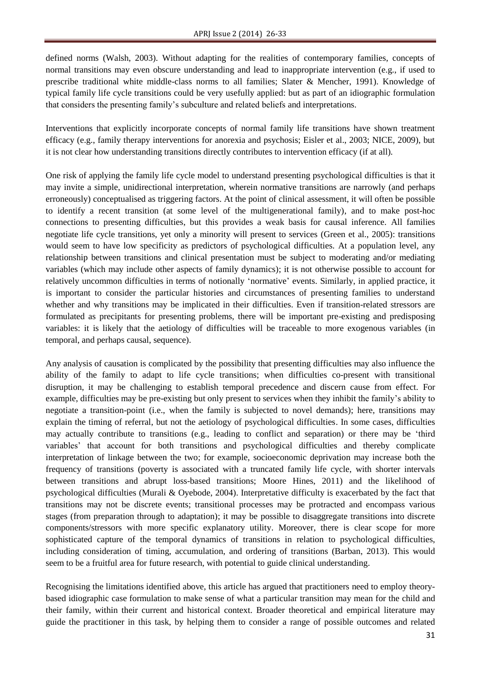defined norms (Walsh, 2003). Without adapting for the realities of contemporary families, concepts of normal transitions may even obscure understanding and lead to inappropriate intervention (e.g., if used to prescribe traditional white middle-class norms to all families; Slater & Mencher, 1991). Knowledge of typical family life cycle transitions could be very usefully applied: but as part of an idiographic formulation that considers the presenting family's subculture and related beliefs and interpretations.

Interventions that explicitly incorporate concepts of normal family life transitions have shown treatment efficacy (e.g., family therapy interventions for anorexia and psychosis; Eisler et al., 2003; NICE, 2009), but it is not clear how understanding transitions directly contributes to intervention efficacy (if at all).

One risk of applying the family life cycle model to understand presenting psychological difficulties is that it may invite a simple, unidirectional interpretation, wherein normative transitions are narrowly (and perhaps erroneously) conceptualised as triggering factors. At the point of clinical assessment, it will often be possible to identify a recent transition (at some level of the multigenerational family), and to make post-hoc connections to presenting difficulties, but this provides a weak basis for causal inference. All families negotiate life cycle transitions, yet only a minority will present to services (Green et al., 2005): transitions would seem to have low specificity as predictors of psychological difficulties. At a population level, any relationship between transitions and clinical presentation must be subject to moderating and/or mediating variables (which may include other aspects of family dynamics); it is not otherwise possible to account for relatively uncommon difficulties in terms of notionally 'normative' events. Similarly, in applied practice, it is important to consider the particular histories and circumstances of presenting families to understand whether and why transitions may be implicated in their difficulties. Even if transition-related stressors are formulated as precipitants for presenting problems, there will be important pre-existing and predisposing variables: it is likely that the aetiology of difficulties will be traceable to more exogenous variables (in temporal, and perhaps causal, sequence).

Any analysis of causation is complicated by the possibility that presenting difficulties may also influence the ability of the family to adapt to life cycle transitions; when difficulties co-present with transitional disruption, it may be challenging to establish temporal precedence and discern cause from effect. For example, difficulties may be pre-existing but only present to services when they inhibit the family's ability to negotiate a transition-point (i.e., when the family is subjected to novel demands); here, transitions may explain the timing of referral, but not the aetiology of psychological difficulties. In some cases, difficulties may actually contribute to transitions (e.g., leading to conflict and separation) or there may be 'third variables' that account for both transitions and psychological difficulties and thereby complicate interpretation of linkage between the two; for example, socioeconomic deprivation may increase both the frequency of transitions (poverty is associated with a truncated family life cycle, with shorter intervals between transitions and abrupt loss-based transitions; Moore Hines, 2011) and the likelihood of psychological difficulties (Murali & Oyebode, 2004). Interpretative difficulty is exacerbated by the fact that transitions may not be discrete events; transitional processes may be protracted and encompass various stages (from preparation through to adaptation); it may be possible to disaggregate transitions into discrete components/stressors with more specific explanatory utility. Moreover, there is clear scope for more sophisticated capture of the temporal dynamics of transitions in relation to psychological difficulties, including consideration of timing, accumulation, and ordering of transitions (Barban, 2013). This would seem to be a fruitful area for future research, with potential to guide clinical understanding.

Recognising the limitations identified above, this article has argued that practitioners need to employ theorybased idiographic case formulation to make sense of what a particular transition may mean for the child and their family, within their current and historical context. Broader theoretical and empirical literature may guide the practitioner in this task, by helping them to consider a range of possible outcomes and related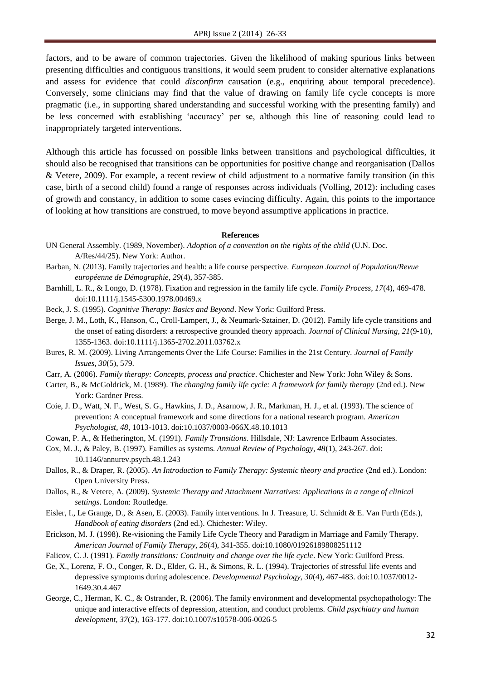factors, and to be aware of common trajectories. Given the likelihood of making spurious links between presenting difficulties and contiguous transitions, it would seem prudent to consider alternative explanations and assess for evidence that could *disconfirm* causation (e.g., enquiring about temporal precedence). Conversely, some clinicians may find that the value of drawing on family life cycle concepts is more pragmatic (i.e., in supporting shared understanding and successful working with the presenting family) and be less concerned with establishing 'accuracy' per se, although this line of reasoning could lead to inappropriately targeted interventions.

Although this article has focussed on possible links between transitions and psychological difficulties, it should also be recognised that transitions can be opportunities for positive change and reorganisation (Dallos & Vetere, 2009). For example, a recent review of child adjustment to a normative family transition (in this case, birth of a second child) found a range of responses across individuals (Volling, 2012): including cases of growth and constancy, in addition to some cases evincing difficulty. Again, this points to the importance of looking at how transitions are construed, to move beyond assumptive applications in practice.

#### **References**

- UN General Assembly. (1989, November). *Adoption of a convention on the rights of the child* (U.N. Doc. A/Res/44/25). New York: Author.
- Barban, N. (2013). Family trajectories and health: a life course perspective. *European Journal of Population/Revue européenne de Démographie*, *29*(4), 357-385.
- Barnhill, L. R., & Longo, D. (1978). Fixation and regression in the family life cycle. *Family Process, 17*(4), 469-478. doi:10.1111/j.1545-5300.1978.00469.x
- Beck, J. S. (1995). *Cognitive Therapy: Basics and Beyond*. New York: Guilford Press.
- Berge, J. M., Loth, K., Hanson, C., Croll-Lampert, J., & Neumark-Sztainer, D. (2012). Family life cycle transitions and the onset of eating disorders: a retrospective grounded theory approach. *Journal of Clinical Nursing, 21*(9‐10), 1355-1363. doi:10.1111/j.1365-2702.2011.03762.x
- Bures, R. M. (2009). Living Arrangements Over the Life Course: Families in the 21st Century. *Journal of Family Issues, 30*(5), 579.
- Carr, A. (2006). *Family therapy: Concepts, process and practice*. Chichester and New York: John Wiley & Sons.
- Carter, B., & McGoldrick, M. (1989). *The changing family life cycle: A framework for family therapy* (2nd ed.). New York: Gardner Press.
- Coie, J. D., Watt, N. F., West, S. G., Hawkins, J. D., Asarnow, J. R., Markman, H. J., et al. (1993). The science of prevention: A conceptual framework and some directions for a national research program. *American Psychologist, 48*, 1013-1013. doi:10.1037/0003-066X.48.10.1013
- Cowan, P. A., & Hetherington, M. (1991). *Family Transitions*. Hillsdale, NJ: Lawrence Erlbaum Associates.
- Cox, M. J., & Paley, B. (1997). Families as systems. *Annual Review of Psychology, 48*(1), 243-267. doi: 10.1146/annurev.psych.48.1.243
- Dallos, R., & Draper, R. (2005). *An Introduction to Family Therapy: Systemic theory and practice* (2nd ed.). London: Open University Press.
- Dallos, R., & Vetere, A. (2009). *Systemic Therapy and Attachment Narratives: Applications in a range of clinical settings*. London: Routledge.
- Eisler, I., Le Grange, D., & Asen, E. (2003). Family interventions. In J. Treasure, U. Schmidt & E. Van Furth (Eds.), *Handbook of eating disorders* (2nd ed.). Chichester: Wiley.
- Erickson, M. J. (1998). Re-visioning the Family Life Cycle Theory and Paradigm in Marriage and Family Therapy. *American Journal of Family Therapy, 26*(4), 341-355. doi:10.1080/01926189808251112
- Falicov, C. J. (1991). *Family transitions: Continuity and change over the life cycle*. New York: Guilford Press.
- Ge, X., Lorenz, F. O., Conger, R. D., Elder, G. H., & Simons, R. L. (1994). Trajectories of stressful life events and depressive symptoms during adolescence. *Developmental Psychology, 30*(4), 467-483. doi:10.1037/0012- 1649.30.4.467
- George, C., Herman, K. C., & Ostrander, R. (2006). The family environment and developmental psychopathology: The unique and interactive effects of depression, attention, and conduct problems. *Child psychiatry and human development, 37*(2), 163-177. doi:10.1007/s10578-006-0026-5